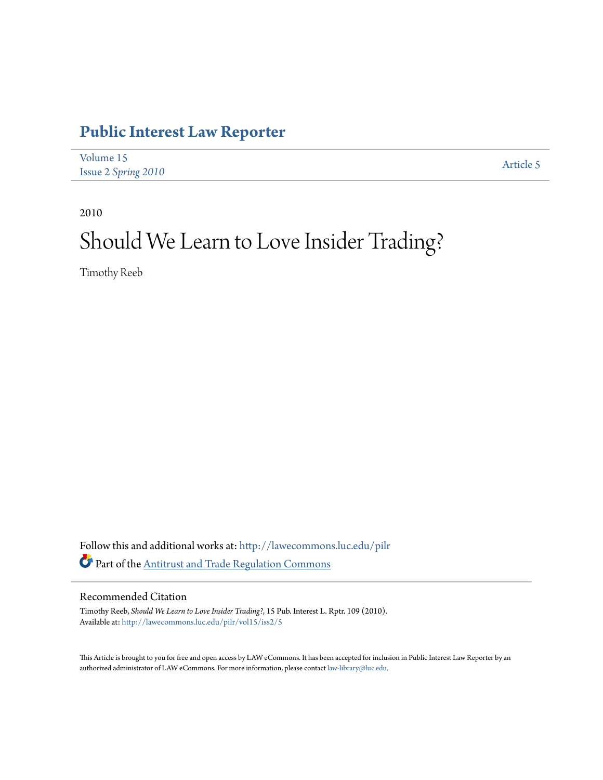### **[Public Interest Law Reporter](http://lawecommons.luc.edu/pilr?utm_source=lawecommons.luc.edu%2Fpilr%2Fvol15%2Fiss2%2F5&utm_medium=PDF&utm_campaign=PDFCoverPages)**

| Volume 15           | Article 5 |
|---------------------|-----------|
| Issue 2 Spring 2010 |           |

2010

# Should We Learn to Love Insider Trading?

Timothy Reeb

Follow this and additional works at: [http://lawecommons.luc.edu/pilr](http://lawecommons.luc.edu/pilr?utm_source=lawecommons.luc.edu%2Fpilr%2Fvol15%2Fiss2%2F5&utm_medium=PDF&utm_campaign=PDFCoverPages) Part of the [Antitrust and Trade Regulation Commons](http://network.bepress.com/hgg/discipline/911?utm_source=lawecommons.luc.edu%2Fpilr%2Fvol15%2Fiss2%2F5&utm_medium=PDF&utm_campaign=PDFCoverPages)

### Recommended Citation

Timothy Reeb, *Should We Learn to Love Insider Trading?*, 15 Pub. Interest L. Rptr. 109 (2010). Available at: [http://lawecommons.luc.edu/pilr/vol15/iss2/5](http://lawecommons.luc.edu/pilr/vol15/iss2/5?utm_source=lawecommons.luc.edu%2Fpilr%2Fvol15%2Fiss2%2F5&utm_medium=PDF&utm_campaign=PDFCoverPages)

This Article is brought to you for free and open access by LAW eCommons. It has been accepted for inclusion in Public Interest Law Reporter by an authorized administrator of LAW eCommons. For more information, please contact [law-library@luc.edu.](mailto:law-library@luc.edu)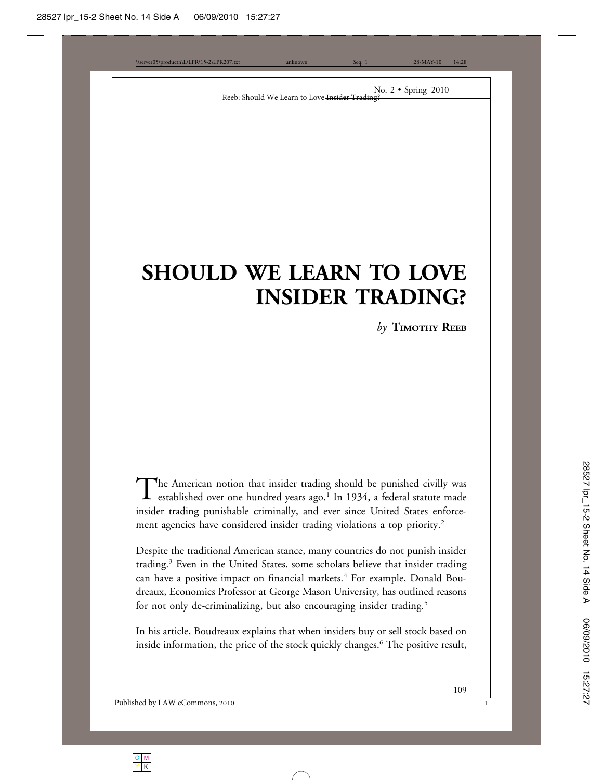## **SHOULD WE LEARN TO LOVE INSIDER TRADING?**

*by* **TIMOTHY REEB**

The American notion that insider trading should be punished civilly was<br>established over one hundred years ago.<sup>1</sup> In 1934, a federal statute made insider trading punishable criminally, and ever since United States enforcement agencies have considered insider trading violations a top priority.<sup>2</sup>

Despite the traditional American stance, many countries do not punish insider trading.<sup>3</sup> Even in the United States, some scholars believe that insider trading can have a positive impact on financial markets.<sup>4</sup> For example, Donald Boudreaux, Economics Professor at George Mason University, has outlined reasons for not only de-criminalizing, but also encouraging insider trading.<sup>5</sup>

In his article, Boudreaux explains that when insiders buy or sell stock based on inside information, the price of the stock quickly changes.<sup>6</sup> The positive result,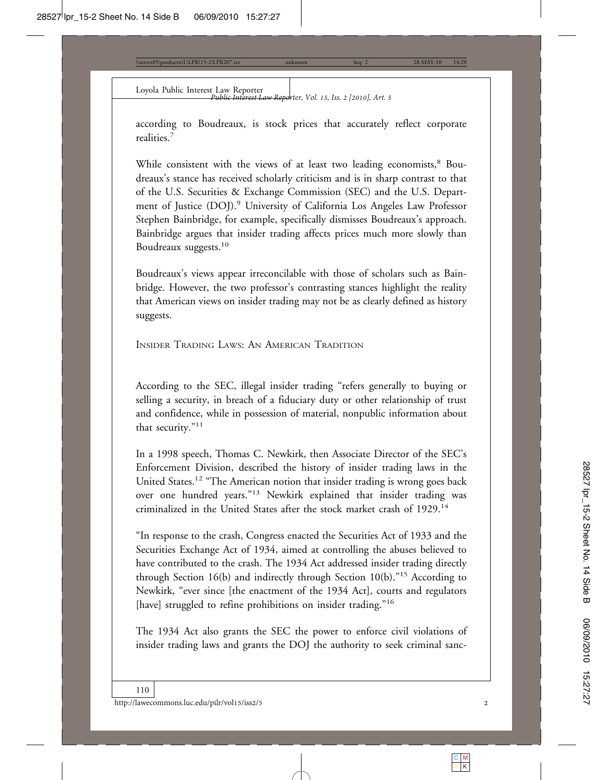Loyola Public Interest Law Reporter *Public Interest Law Reporter, Vol. 15, Iss. 2 [2010], Art. 5*

according to Boudreaux, is stock prices that accurately reflect corporate realities.<sup>7</sup>

While consistent with the views of at least two leading economists,<sup>8</sup> Boudreaux's stance has received scholarly criticism and is in sharp contrast to that of the U.S. Securities & Exchange Commission (SEC) and the U.S. Department of Justice (DOJ).<sup>9</sup> University of California Los Angeles Law Professor Stephen Bainbridge, for example, specifically dismisses Boudreaux's approach. Bainbridge argues that insider trading affects prices much more slowly than Boudreaux suggests.<sup>10</sup>

Boudreaux's views appear irreconcilable with those of scholars such as Bainbridge. However, the two professor's contrasting stances highlight the reality that American views on insider trading may not be as clearly defined as history suggests.

INSIDER TRADING LAWS: AN AMERICAN TRADITION

According to the SEC, illegal insider trading "refers generally to buying or selling a security, in breach of a fiduciary duty or other relationship of trust and confidence, while in possession of material, nonpublic information about that security."<sup>11</sup>

In a 1998 speech, Thomas C. Newkirk, then Associate Director of the SEC's Enforcement Division, described the history of insider trading laws in the United States.<sup>12</sup> "The American notion that insider trading is wrong goes back over one hundred years."13 Newkirk explained that insider trading was criminalized in the United States after the stock market crash of 1929.<sup>14</sup>

"In response to the crash, Congress enacted the Securities Act of 1933 and the Securities Exchange Act of 1934, aimed at controlling the abuses believed to have contributed to the crash. The 1934 Act addressed insider trading directly through Section 16(b) and indirectly through Section 10(b)."15 According to Newkirk, "ever since [the enactment of the 1934 Act], courts and regulators [have] struggled to refine prohibitions on insider trading."<sup>16</sup>

The 1934 Act also grants the SEC the power to enforce civil violations of insider trading laws and grants the DOJ the authority to seek criminal sanc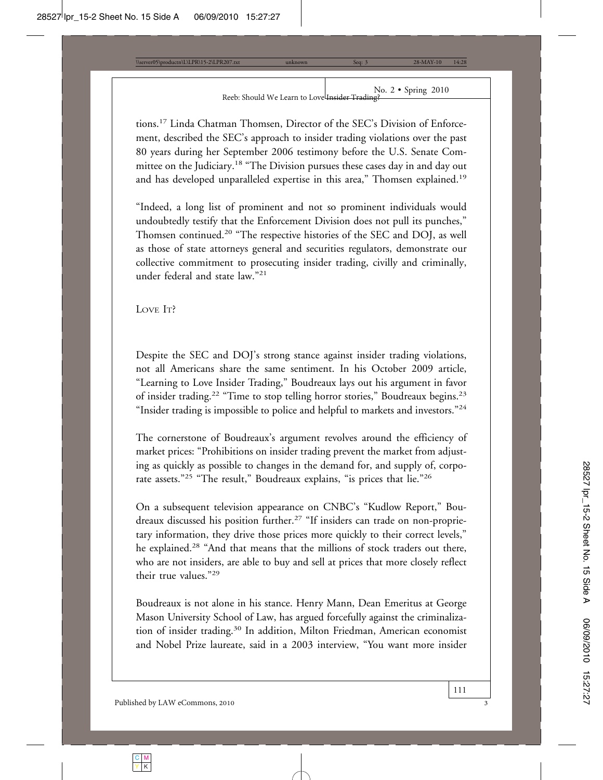tions.17 Linda Chatman Thomsen, Director of the SEC's Division of Enforcement, described the SEC's approach to insider trading violations over the past 80 years during her September 2006 testimony before the U.S. Senate Committee on the Judiciary.<sup>18</sup> "The Division pursues these cases day in and day out and has developed unparalleled expertise in this area," Thomsen explained.<sup>19</sup>

"Indeed, a long list of prominent and not so prominent individuals would undoubtedly testify that the Enforcement Division does not pull its punches," Thomsen continued.20 "The respective histories of the SEC and DOJ, as well as those of state attorneys general and securities regulators, demonstrate our collective commitment to prosecuting insider trading, civilly and criminally, under federal and state law."<sup>21</sup>

LOVE IT?

Despite the SEC and DOJ's strong stance against insider trading violations, not all Americans share the same sentiment. In his October 2009 article, "Learning to Love Insider Trading," Boudreaux lays out his argument in favor of insider trading.<sup>22</sup> "Time to stop telling horror stories," Boudreaux begins.<sup>23</sup> "Insider trading is impossible to police and helpful to markets and investors."<sup>24</sup>

The cornerstone of Boudreaux's argument revolves around the efficiency of market prices: "Prohibitions on insider trading prevent the market from adjusting as quickly as possible to changes in the demand for, and supply of, corporate assets."<sup>25</sup> "The result," Boudreaux explains, "is prices that lie."<sup>26</sup>

On a subsequent television appearance on CNBC's "Kudlow Report," Boudreaux discussed his position further.<sup>27</sup> "If insiders can trade on non-proprietary information, they drive those prices more quickly to their correct levels," he explained.28 "And that means that the millions of stock traders out there, who are not insiders, are able to buy and sell at prices that more closely reflect their true values."<sup>29</sup>

Boudreaux is not alone in his stance. Henry Mann, Dean Emeritus at George Mason University School of Law, has argued forcefully against the criminalization of insider trading.<sup>30</sup> In addition, Milton Friedman, American economist and Nobel Prize laureate, said in a 2003 interview, "You want more insider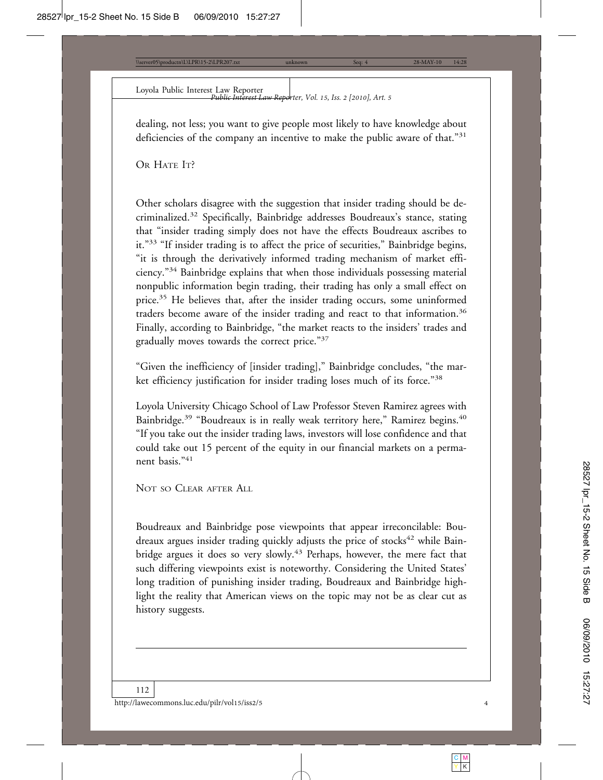Loyola Public Interest Law Reporter *Public Interest Law Reporter, Vol. 15, Iss. 2 [2010], Art. 5*

dealing, not less; you want to give people most likely to have knowledge about deficiencies of the company an incentive to make the public aware of that."<sup>31</sup>

OR HATE IT?

Other scholars disagree with the suggestion that insider trading should be decriminalized.32 Specifically, Bainbridge addresses Boudreaux's stance, stating that "insider trading simply does not have the effects Boudreaux ascribes to it."33 "If insider trading is to affect the price of securities," Bainbridge begins, "it is through the derivatively informed trading mechanism of market efficiency."34 Bainbridge explains that when those individuals possessing material nonpublic information begin trading, their trading has only a small effect on price.<sup>35</sup> He believes that, after the insider trading occurs, some uninformed traders become aware of the insider trading and react to that information.<sup>36</sup> Finally, according to Bainbridge, "the market reacts to the insiders' trades and gradually moves towards the correct price."<sup>37</sup>

"Given the inefficiency of [insider trading]," Bainbridge concludes, "the market efficiency justification for insider trading loses much of its force."<sup>38</sup>

Loyola University Chicago School of Law Professor Steven Ramirez agrees with Bainbridge.<sup>39</sup> "Boudreaux is in really weak territory here," Ramirez begins.<sup>40</sup> "If you take out the insider trading laws, investors will lose confidence and that could take out 15 percent of the equity in our financial markets on a permanent basis."<sup>41</sup>

NOT SO CLEAR AFTER ALL

Boudreaux and Bainbridge pose viewpoints that appear irreconcilable: Boudreaux argues insider trading quickly adjusts the price of stocks<sup>42</sup> while Bainbridge argues it does so very slowly.<sup>43</sup> Perhaps, however, the mere fact that such differing viewpoints exist is noteworthy. Considering the United States' long tradition of punishing insider trading, Boudreaux and Bainbridge highlight the reality that American views on the topic may not be as clear cut as history suggests.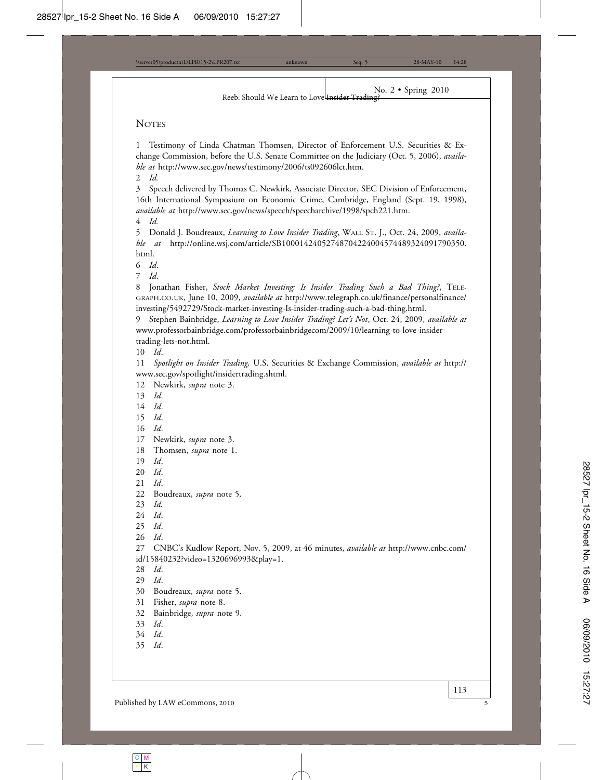#### **NOTES**

Testimony of Linda Chatman Thomsen, Director of Enforcement U.S. Securities & Exchange Commission, before the U.S. Senate Committee on the Judiciary (Oct. 5, 2006), *available at* http://www.sec.gov/news/testimony/2006/ts092606lct.htm.

2 *Id.*

3 Speech delivered by Thomas C. Newkirk, Associate Director, SEC Division of Enforcement, 16th International Symposium on Economic Crime, Cambridge, England (Sept. 19, 1998), *available at* http://www.sec.gov/news/speech/speecharchive/1998/spch221.htm.

4 *Id.*

5 Donald J. Boudreaux, *Learning to Love Insider Trading*, WALL ST. J., Oct. 24, 2009, *available at* http://online.wsj.com/article/SB10001424052748704224004574489324091790350. html.

6 *Id*.

7 *Id*.

8 Jonathan Fisher, *Stock Market Investing: Is Insider Trading Such a Bad Thing?*, TELE-GRAPH.CO.UK, June 10, 2009, *available at* http://www.telegraph.co.uk/finance/personalfinance/ investing/5492729/Stock-market-investing-Is-insider-trading-such-a-bad-thing.html.

9 Stephen Bainbridge, *Learning to Love Insider Trading? Let's Not*, Oct. 24, 2009, *available at* www.professorbainbridge.com/professorbainbridgecom/2009/10/learning-to-love-insidertrading-lets-not.html.

10 *Id*.

11 *Spotlight on Insider Trading,* U.S. Securities & Exchange Commission, *available at* http:// www.sec.gov/spotlight/insidertrading.shtml.

12 Newkirk, *supra* note 3.

13 *Id*.

14 *Id*.

15 *Id*.

16 *Id*.

17 Newkirk, *supra* note 3.

18 Thomsen, *supra* note 1.

19 *Id*.

20 *Id*.

21 *Id*.

22 Boudreaux, *supra* note 5.

23 *Id.*

24 *Id*.

25 *Id*.

26 *Id*.

27 CNBC's Kudlow Report, Nov. 5, 2009, at 46 minutes, *available at* http://www.cnbc.com/ id/15840232?video=1320696993&play=1.

28 *Id*.

29 *Id*.

30 Boudreaux, *supra* note 5.

31 Fisher, *supra* note 8.

32 Bainbridge, *supra* note 9.

33 *Id*.

34 *Id*.

35 *Id*.